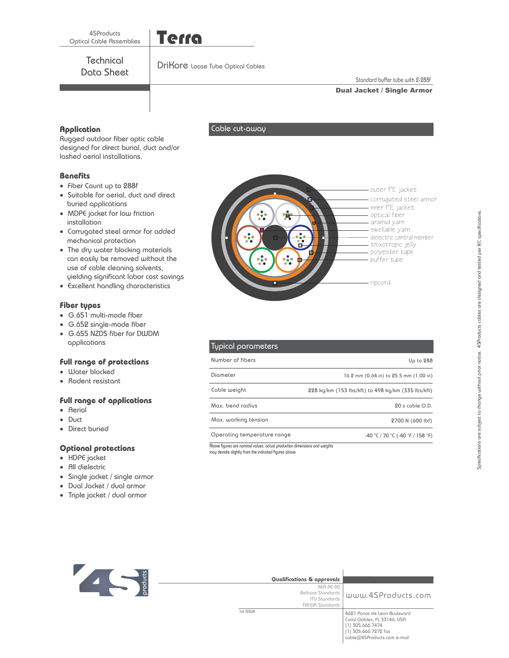**Technical** Data Sheet

Cable cut-away

Terra

Standard buffer tube with 2-288f

## Dual Jacket / Single Armor

**.<br>Augged outdoor fiber optic cable** designed for direct burial, duct and/or lashed aerial installations.

# **Benefits**

- **Benefits** Fiber Count up to 288f
- Suitable for aerial, duct and direct buried applications
- MDPE jacket for low friction installation
- Corrugated steel armor for added mechanical protection
- The dry water blocking materials can easily be removed without the use of cable cleaning solvents, yielding significant labor cost savings
- Excellent handling characteristics

- **Fiber types** G.651 multi-mode fiber
- G.652 single-mode fiber
- G.655 NZDS fiber for DWDM applications

- Water blocked **Full range of protections** -
- e Rodent resistant

- **•** Aerial
- -Duct
- Direct buried

- HDPE jacket **Optional protections** -
- All dielectric
- Single jacket / single armor -
- Dual Jacket / dual armor -
- Triple jacket / dual armor -

| outer PE jacket<br>corrugated steel armor<br>inner PE jacket<br>optical fiber<br>aramid yarn<br>swellable yarn<br>dielectric central member<br>thixotropic jelly<br>polyester tape<br>buffer tube |
|---------------------------------------------------------------------------------------------------------------------------------------------------------------------------------------------------|
| ripcord                                                                                                                                                                                           |

| Typical parameters          |                                                    |
|-----------------------------|----------------------------------------------------|
| Number of fibers            | Up to 288                                          |
| Diometer                    | 16.2 mm (0.64 in) to 25.5 mm (1.00 in)             |
| Cable weight                | 228 kg/km (153 lbs/kft) to 498 kg/km (335 lbs/kft) |
| Max, bend radius            | $20x$ coble $O.D.$                                 |
| Max. working tension        | 2700 N (600 lbf)                                   |
| Operating temperature range | $-40$ °C / 70 °C ( $-40$ °F / 158 °F)              |

Above figures are nominal values; actual production dimensions and weights may deviate slightly from the indicated figures above

| м         | Qualifications & approvals                                                   |                                                                                                                                        |
|-----------|------------------------------------------------------------------------------|----------------------------------------------------------------------------------------------------------------------------------------|
| logi<br>D | REA PE-90<br>Bellcore Standards<br><b>ITU Standards</b><br>TIA/EIA Standards | www.4SProducts.com                                                                                                                     |
|           | 1st ISSUE                                                                    | 4621 Ponce de Leon Boulevard<br>Coral Gables, FL 33146, USA<br>[1] 305.666.7474<br>[1] 305.666.7272 fax<br>cable@4SProducts.com e-mail |